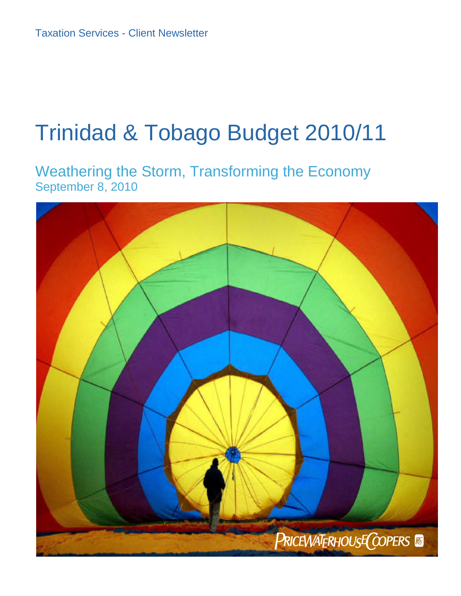# Trinidad & Tobago Budget 2010/11

Weathering the Storm, Transforming the Economy September 8, 2010

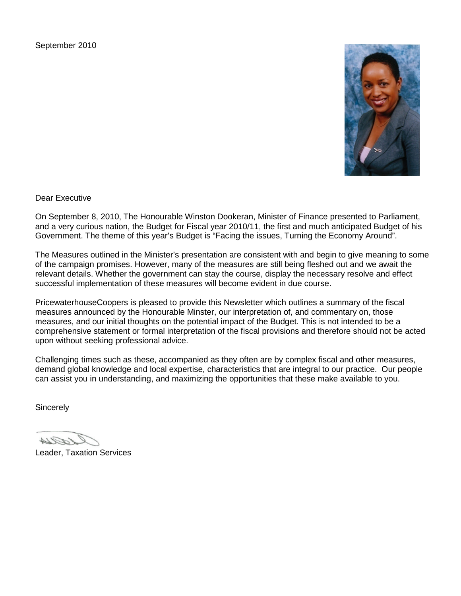September 2010



Dear Executive

On September 8, 2010, The Honourable Winston Dookeran, Minister of Finance presented to Parliament, and a very curious nation, the Budget for Fiscal year 2010/11, the first and much anticipated Budget of his Government. The theme of this year's Budget is "Facing the issues, Turning the Economy Around".

The Measures outlined in the Minister's presentation are consistent with and begin to give meaning to some of the campaign promises. However, many of the measures are still being fleshed out and we await the relevant details. Whether the government can stay the course, display the necessary resolve and effect successful implementation of these measures will become evident in due course.

PricewaterhouseCoopers is pleased to provide this Newsletter which outlines a summary of the fiscal measures announced by the Honourable Minster, our interpretation of, and commentary on, those measures, and our initial thoughts on the potential impact of the Budget. This is not intended to be a comprehensive statement or formal interpretation of the fiscal provisions and therefore should not be acted upon without seeking professional advice.

Challenging times such as these, accompanied as they often are by complex fiscal and other measures, demand global knowledge and local expertise, characteristics that are integral to our practice. Our people can assist you in understanding, and maximizing the opportunities that these make available to you.

**Sincerely** 

FA 14

Leader, Taxation Services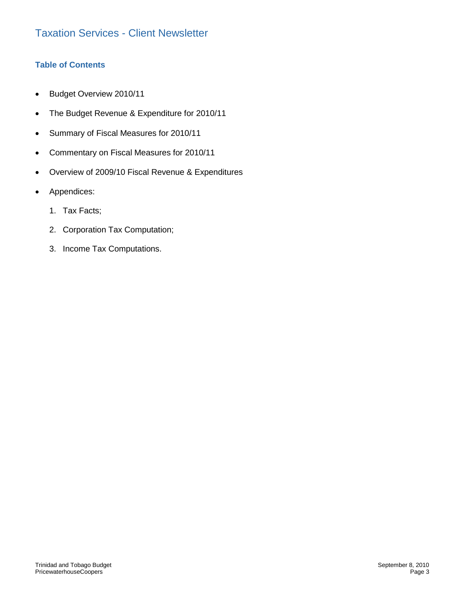# **Table of Contents**

- **Budget Overview 2010/11**
- The Budget Revenue & Expenditure for 2010/11
- Summary of Fiscal Measures for 2010/11
- Commentary on Fiscal Measures for 2010/11
- Overview of 2009/10 Fiscal Revenue & Expenditures
- Appendices:
	- 1. Tax Facts;
	- 2. Corporation Tax Computation;
	- 3. Income Tax Computations.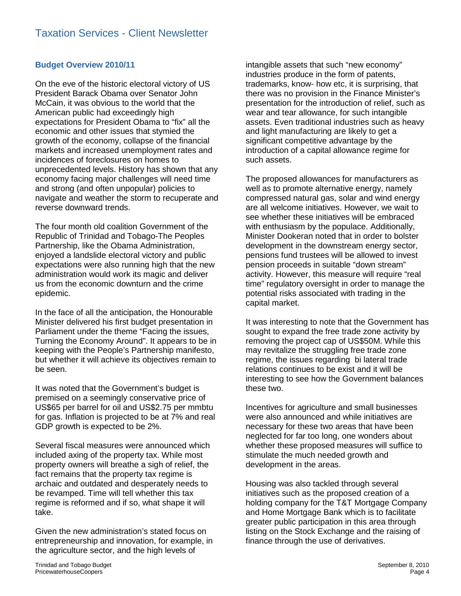# **Budget Overview 2010/11**

On the eve of the historic electoral victory of US President Barack Obama over Senator John McCain, it was obvious to the world that the American public had exceedingly high expectations for President Obama to "fix" all the economic and other issues that stymied the growth of the economy, collapse of the financial markets and increased unemployment rates and incidences of foreclosures on homes to unprecedented levels. History has shown that any economy facing major challenges will need time and strong (and often unpopular) policies to navigate and weather the storm to recuperate and reverse downward trends.

The four month old coalition Government of the Republic of Trinidad and Tobago-The Peoples Partnership, like the Obama Administration, enjoyed a landslide electoral victory and public expectations were also running high that the new administration would work its magic and deliver us from the economic downturn and the crime epidemic.

In the face of all the anticipation, the Honourable Minister delivered his first budget presentation in Parliament under the theme "Facing the issues, Turning the Economy Around". It appears to be in keeping with the People's Partnership manifesto, but whether it will achieve its objectives remain to be seen.

It was noted that the Government's budget is premised on a seemingly conservative price of US\$65 per barrel for oil and US\$2.75 per mmbtu for gas. Inflation is projected to be at 7% and real GDP growth is expected to be 2%.

Several fiscal measures were announced which included axing of the property tax. While most property owners will breathe a sigh of relief, the fact remains that the property tax regime is archaic and outdated and desperately needs to be revamped. Time will tell whether this tax regime is reformed and if so, what shape it will take.

Given the new administration's stated focus on entrepreneurship and innovation, for example, in the agriculture sector, and the high levels of

intangible assets that such "new economy" industries produce in the form of patents, trademarks, know- how etc, it is surprising, that there was no provision in the Finance Minister's presentation for the introduction of relief, such as wear and tear allowance, for such intangible assets. Even traditional industries such as heavy and light manufacturing are likely to get a significant competitive advantage by the introduction of a capital allowance regime for such assets.

The proposed allowances for manufacturers as well as to promote alternative energy, namely compressed natural gas, solar and wind energy are all welcome initiatives. However, we wait to see whether these initiatives will be embraced with enthusiasm by the populace. Additionally, Minister Dookeran noted that in order to bolster development in the downstream energy sector, pensions fund trustees will be allowed to invest pension proceeds in suitable "down stream" activity. However, this measure will require "real time" regulatory oversight in order to manage the potential risks associated with trading in the capital market.

It was interesting to note that the Government has sought to expand the free trade zone activity by removing the project cap of US\$50M. While this may revitalize the struggling free trade zone regime, the issues regarding bi lateral trade relations continues to be exist and it will be interesting to see how the Government balances these two.

Incentives for agriculture and small businesses were also announced and while initiatives are necessary for these two areas that have been neglected for far too long, one wonders about whether these proposed measures will suffice to stimulate the much needed growth and development in the areas.

Housing was also tackled through several initiatives such as the proposed creation of a holding company for the T&T Mortgage Company and Home Mortgage Bank which is to facilitate greater public participation in this area through listing on the Stock Exchange and the raising of finance through the use of derivatives.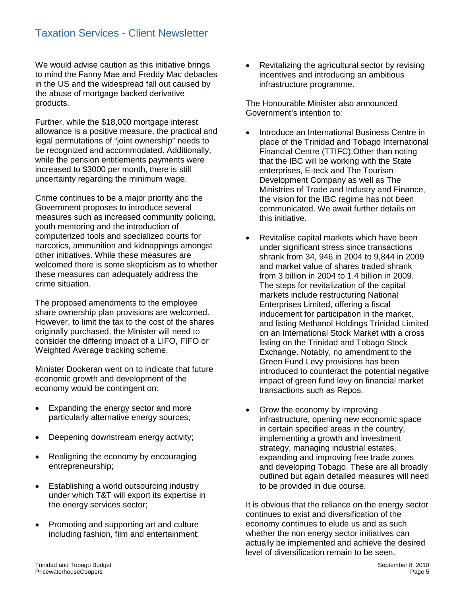We would advise caution as this initiative brings to mind the Fanny Mae and Freddy Mac debacles in the US and the widespread fall out caused by the abuse of mortgage backed derivative products.

Further, while the \$18,000 mortgage interest allowance is a positive measure, the practical and legal permutations of "joint ownership" needs to be recognized and accommodated. Additionally, while the pension entitlements payments were increased to \$3000 per month, there is still uncertainty regarding the minimum wage.

Crime continues to be a major priority and the Government proposes to introduce several measures such as increased community policing, youth mentoring and the introduction of computerized tools and specialized courts for narcotics, ammunition and kidnappings amongst other initiatives. While these measures are welcomed there is some skepticism as to whether these measures can adequately address the crime situation.

The proposed amendments to the employee share ownership plan provisions are welcomed. However, to limit the tax to the cost of the shares originally purchased, the Minister will need to consider the differing impact of a LIFO, FIFO or Weighted Average tracking scheme.

Minister Dookeran went on to indicate that future economic growth and development of the economy would be contingent on:

- Expanding the energy sector and more particularly alternative energy sources;
- Deepening downstream energy activity;
- Realigning the economy by encouraging entrepreneurship;
- Establishing a world outsourcing industry under which T&T will export its expertise in the energy services sector;
- Promoting and supporting art and culture including fashion, film and entertainment;

 Revitalizing the agricultural sector by revising incentives and introducing an ambitious infrastructure programme.

The Honourable Minister also announced Government's intention to:

- Introduce an International Business Centre in place of the Trinidad and Tobago International Financial Centre (TTIFC).Other than noting that the IBC will be working with the State enterprises, E-teck and The Tourism Development Company as well as The Ministries of Trade and Industry and Finance, the vision for the IBC regime has not been communicated. We await further details on this initiative.
- Revitalise capital markets which have been under significant stress since transactions shrank from 34, 946 in 2004 to 9,844 in 2009 and market value of shares traded shrank from 3 billion in 2004 to 1.4 billion in 2009. The steps for revitalization of the capital markets include restructuring National Enterprises Limited, offering a fiscal inducement for participation in the market, and listing Methanol Holdings Trinidad Limited on an International Stock Market with a cross listing on the Trinidad and Tobago Stock Exchange. Notably, no amendment to the Green Fund Levy provisions has been introduced to counteract the potential negative impact of green fund levy on financial market transactions such as Repos.
- Grow the economy by improving infrastructure, opening new economic space in certain specified areas in the country, implementing a growth and investment strategy, managing industrial estates, expanding and improving free trade zones and developing Tobago. These are all broadly outlined but again detailed measures will need to be provided in due course.

It is obvious that the reliance on the energy sector continues to exist and diversification of the economy continues to elude us and as such whether the non energy sector initiatives can actually be implemented and achieve the desired level of diversification remain to be seen.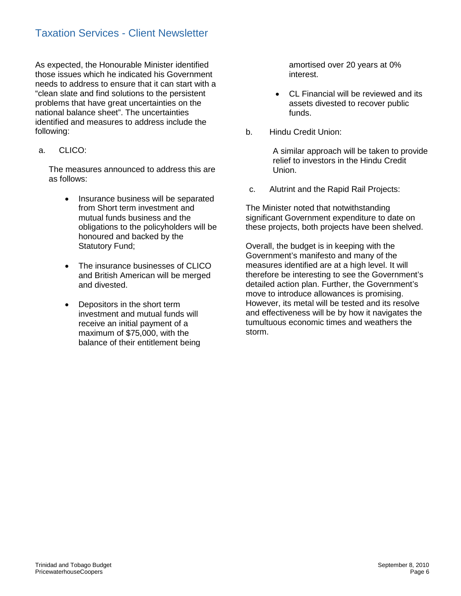As expected, the Honourable Minister identified those issues which he indicated his Government needs to address to ensure that it can start with a "clean slate and find solutions to the persistent problems that have great uncertainties on the national balance sheet". The uncertainties identified and measures to address include the following:

a. CLICO:

The measures announced to address this are as follows:

- Insurance business will be separated from Short term investment and mutual funds business and the obligations to the policyholders will be honoured and backed by the Statutory Fund;
- The insurance businesses of CLICO and British American will be merged and divested.
- Depositors in the short term investment and mutual funds will receive an initial payment of a maximum of \$75,000, with the balance of their entitlement being

amortised over 20 years at 0% interest.

- CL Financial will be reviewed and its assets divested to recover public funds.
- b. Hindu Credit Union:

A similar approach will be taken to provide relief to investors in the Hindu Credit Union.

c. Alutrint and the Rapid Rail Projects:

The Minister noted that notwithstanding significant Government expenditure to date on these projects, both projects have been shelved.

Overall, the budget is in keeping with the Government's manifesto and many of the measures identified are at a high level. It will therefore be interesting to see the Government's detailed action plan. Further, the Government's move to introduce allowances is promising. However, its metal will be tested and its resolve and effectiveness will be by how it navigates the tumultuous economic times and weathers the storm.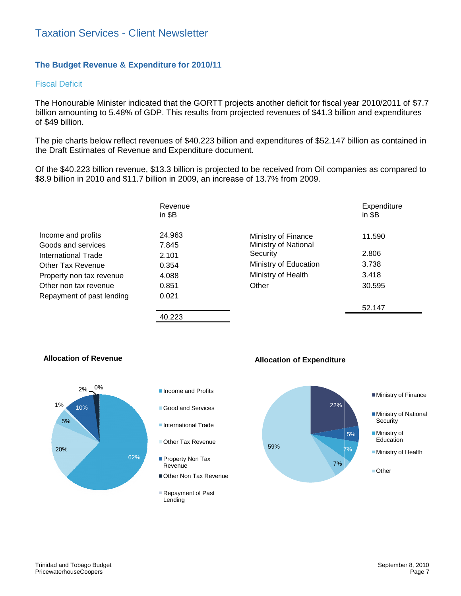# Taxation Services - Client Newsletter Newsletter

# **The Budget Revenue & Expenditure for 2010/11**

#### Fiscal Deficit

The Honourable Minister indicated that the GORTT projects another deficit for fiscal year 2010/2011 of \$7.7 billion amounting to 5.48% of GDP. This results from projected revenues of \$41.3 billion and expenditures of \$49 billion. Minister indicated that the GORTT projects another deficit for fiscal year 2010/2011 of \$7.7<br>to 5.48% of GDP. This results from projected revenues of \$41.3 billion and expenditures<br>low reflect revenues of \$40.223 billion a

The pie charts below reflect revenues of \$40.223 billion and expenditures of \$52.147 billion as contained in the Draft Estimates of Revenue and Expenditure document.

Of the \$40.223 billion revenue, \$13.3 billion is projected to be received from Oil companies as compared to \$8.9 billion in 2010 and \$11.7 billion in 2009, an increase of 13.7% from 2009. ates of Revenue and Expenditure document.<br>billion revenue, \$13.3 billion is projected to be received from Oil companies as compared to<br>010 and \$11.7 billion in 2009, an increase of 13.7% from 2009.

|                           | Revenue<br>in $$B$ |                             | Expenditure<br>in $$B$ |
|---------------------------|--------------------|-----------------------------|------------------------|
| Income and profits        | 24.963             | Ministry of Finance         | 11.590                 |
| Goods and services        | 7.845              | <b>Ministry of National</b> |                        |
| International Trade       | 2.101              | Security                    | 2.806                  |
| Other Tax Revenue         | 0.354              | Ministry of Education       | 3.738                  |
| Property non tax revenue  | 4.088              | Ministry of Health          | 3.418                  |
| Other non tax revenue     | 0.851              | Other                       | 30.595                 |
| Repayment of past lending | 0.021              |                             |                        |
|                           |                    |                             | 52.147                 |

40.223







**Allocation of Revenue**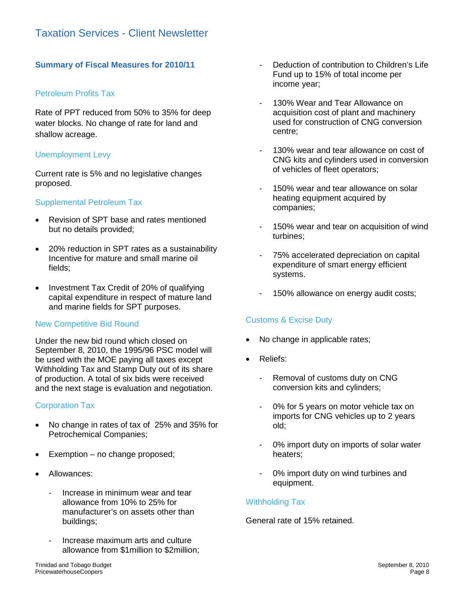# **Summary of Fiscal Measures for 2010/11**

# Petroleum Profits Tax

Rate of PPT reduced from 50% to 35% for deep water blocks. No change of rate for land and shallow acreage.

# Unemployment Levy

Current rate is 5% and no legislative changes proposed.

# Supplemental Petroleum Tax

- Revision of SPT base and rates mentioned but no details provided;
- 20% reduction in SPT rates as a sustainability Incentive for mature and small marine oil fields;
- Investment Tax Credit of 20% of qualifying capital expenditure in respect of mature land and marine fields for SPT purposes.

# New Competitive Bid Round

Under the new bid round which closed on September 8, 2010, the 1995/96 PSC model will be used with the MOE paying all taxes except Withholding Tax and Stamp Duty out of its share of production. A total of six bids were received and the next stage is evaluation and negotiation.

# Corporation Tax

- No change in rates of tax of 25% and 35% for Petrochemical Companies;
- $\bullet$  Exemption no change proposed;
- Allowances:
	- Increase in minimum wear and tear allowance from 10% to 25% for manufacturer's on assets other than buildings;
	- Increase maximum arts and culture allowance from \$1million to \$2million;
- Deduction of contribution to Children's Life Fund up to 15% of total income per income year;
- 130% Wear and Tear Allowance on acquisition cost of plant and machinery used for construction of CNG conversion centre;
- 130% wear and tear allowance on cost of CNG kits and cylinders used in conversion of vehicles of fleet operators;
- 150% wear and tear allowance on solar heating equipment acquired by companies;
- 150% wear and tear on acquisition of wind turbines;
- 75% accelerated depreciation on capital expenditure of smart energy efficient systems.
- 150% allowance on energy audit costs;

# Customs & Excise Duty

- No change in applicable rates;
- Reliefs:
	- Removal of customs duty on CNG conversion kits and cylinders;
	- 0% for 5 years on motor vehicle tax on imports for CNG vehicles up to 2 years old;
	- 0% import duty on imports of solar water heaters;
	- 0% import duty on wind turbines and equipment.

# Withholding Tax

#### General rate of 15% retained.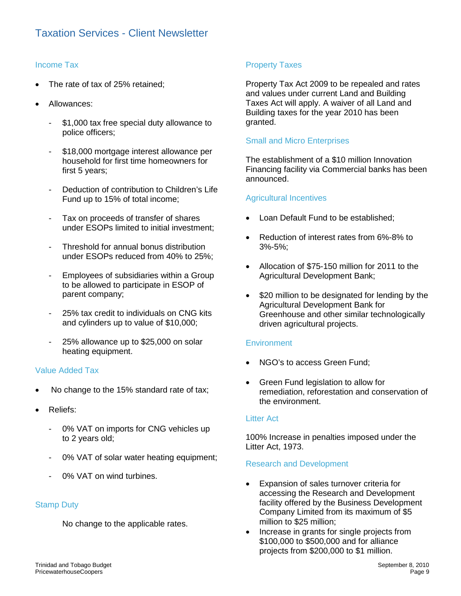# Income Tax

- The rate of tax of 25% retained;
- Allowances:
	- \$1,000 tax free special duty allowance to police officers;
	- \$18,000 mortgage interest allowance per household for first time homeowners for first 5 years;
	- Deduction of contribution to Children's Life Fund up to 15% of total income;
	- Tax on proceeds of transfer of shares under ESOPs limited to initial investment;
	- Threshold for annual bonus distribution under ESOPs reduced from 40% to 25%;
	- Employees of subsidiaries within a Group to be allowed to participate in ESOP of parent company;
	- 25% tax credit to individuals on CNG kits and cylinders up to value of \$10,000;
	- 25% allowance up to \$25,000 on solar heating equipment.

# Value Added Tax

- No change to the 15% standard rate of tax;
- Reliefs:
	- 0% VAT on imports for CNG vehicles up to 2 years old;
	- 0% VAT of solar water heating equipment;
	- 0% VAT on wind turbines.

# Stamp Duty

No change to the applicable rates.

# Property Taxes

Property Tax Act 2009 to be repealed and rates and values under current Land and Building Taxes Act will apply. A waiver of all Land and Building taxes for the year 2010 has been granted.

# Small and Micro Enterprises

The establishment of a \$10 million Innovation Financing facility via Commercial banks has been announced.

## Agricultural Incentives

- Loan Default Fund to be established;
- Reduction of interest rates from 6%-8% to 3%-5%;
- Allocation of \$75-150 million for 2011 to the Agricultural Development Bank;
- \$20 million to be designated for lending by the Agricultural Development Bank for Greenhouse and other similar technologically driven agricultural projects.

# **Environment**

- NGO's to access Green Fund;
- Green Fund legislation to allow for remediation, reforestation and conservation of the environment.

#### Litter Act

100% Increase in penalties imposed under the Litter Act, 1973.

#### Research and Development

- Expansion of sales turnover criteria for accessing the Research and Development facility offered by the Business Development Company Limited from its maximum of \$5 million to \$25 million;
- Increase in grants for single projects from \$100,000 to \$500,000 and for alliance projects from \$200,000 to \$1 million.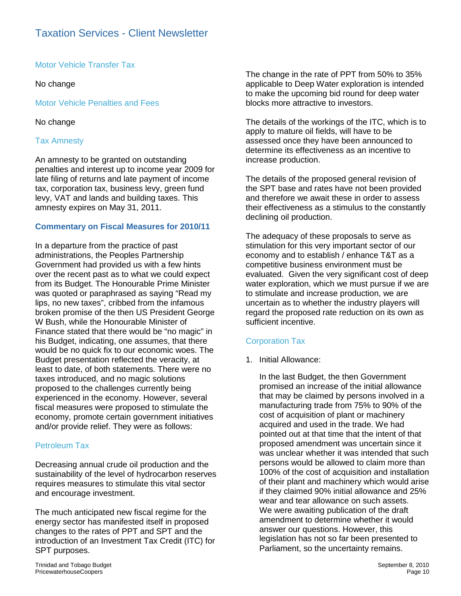Motor Vehicle Transfer Tax

No change

Motor Vehicle Penalties and Fees

# No change

# Tax Amnesty

An amnesty to be granted on outstanding penalties and interest up to income year 2009 for late filing of returns and late payment of income tax, corporation tax, business levy, green fund levy, VAT and lands and building taxes. This amnesty expires on May 31, 2011.

# **Commentary on Fiscal Measures for 2010/11**

In a departure from the practice of past administrations, the Peoples Partnership Government had provided us with a few hints over the recent past as to what we could expect from its Budget. The Honourable Prime Minister was quoted or paraphrased as saying "Read my lips, no new taxes", cribbed from the infamous broken promise of the then US President George W Bush, while the Honourable Minister of Finance stated that there would be "no magic" in his Budget, indicating, one assumes, that there would be no quick fix to our economic woes. The Budget presentation reflected the veracity, at least to date, of both statements. There were no taxes introduced, and no magic solutions proposed to the challenges currently being experienced in the economy. However, several fiscal measures were proposed to stimulate the economy, promote certain government initiatives and/or provide relief. They were as follows:

# Petroleum Tax

Decreasing annual crude oil production and the sustainability of the level of hydrocarbon reserves requires measures to stimulate this vital sector and encourage investment.

The much anticipated new fiscal regime for the energy sector has manifested itself in proposed changes to the rates of PPT and SPT and the introduction of an Investment Tax Credit (ITC) for SPT purposes.

The change in the rate of PPT from 50% to 35% applicable to Deep Water exploration is intended to make the upcoming bid round for deep water blocks more attractive to investors.

The details of the workings of the ITC, which is to apply to mature oil fields, will have to be assessed once they have been announced to determine its effectiveness as an incentive to increase production.

The details of the proposed general revision of the SPT base and rates have not been provided and therefore we await these in order to assess their effectiveness as a stimulus to the constantly declining oil production.

The adequacy of these proposals to serve as stimulation for this very important sector of our economy and to establish / enhance T&T as a competitive business environment must be evaluated. Given the very significant cost of deep water exploration, which we must pursue if we are to stimulate and increase production, we are uncertain as to whether the industry players will regard the proposed rate reduction on its own as sufficient incentive.

# Corporation Tax

1. Initial Allowance:

In the last Budget, the then Government promised an increase of the initial allowance that may be claimed by persons involved in a manufacturing trade from 75% to 90% of the cost of acquisition of plant or machinery acquired and used in the trade. We had pointed out at that time that the intent of that proposed amendment was uncertain since it was unclear whether it was intended that such persons would be allowed to claim more than 100% of the cost of acquisition and installation of their plant and machinery which would arise if they claimed 90% initial allowance and 25% wear and tear allowance on such assets. We were awaiting publication of the draft amendment to determine whether it would answer our questions. However, this legislation has not so far been presented to Parliament, so the uncertainty remains.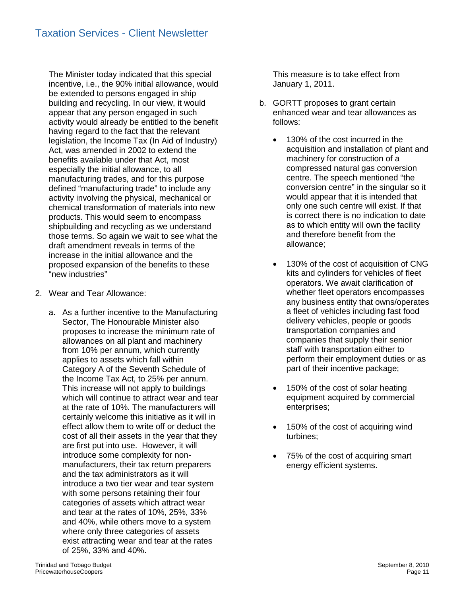The Minister today indicated that this special incentive, i.e., the 90% initial allowance, would be extended to persons engaged in ship building and recycling. In our view, it would appear that any person engaged in such activity would already be entitled to the benefit having regard to the fact that the relevant legislation, the Income Tax (In Aid of Industry) Act, was amended in 2002 to extend the benefits available under that Act, most especially the initial allowance, to all manufacturing trades, and for this purpose defined "manufacturing trade" to include any activity involving the physical, mechanical or chemical transformation of materials into new products. This would seem to encompass shipbuilding and recycling as we understand those terms. So again we wait to see what the draft amendment reveals in terms of the increase in the initial allowance and the proposed expansion of the benefits to these "new industries"

- 2. Wear and Tear Allowance:
	- a. As a further incentive to the Manufacturing Sector, The Honourable Minister also proposes to increase the minimum rate of allowances on all plant and machinery from 10% per annum, which currently applies to assets which fall within Category A of the Seventh Schedule of the Income Tax Act, to 25% per annum. This increase will not apply to buildings which will continue to attract wear and tear at the rate of 10%. The manufacturers will certainly welcome this initiative as it will in effect allow them to write off or deduct the cost of all their assets in the year that they are first put into use. However, it will introduce some complexity for nonmanufacturers, their tax return preparers and the tax administrators as it will introduce a two tier wear and tear system with some persons retaining their four categories of assets which attract wear and tear at the rates of 10%, 25%, 33% and 40%, while others move to a system where only three categories of assets exist attracting wear and tear at the rates of 25%, 33% and 40%.

This measure is to take effect from January 1, 2011.

- b. GORTT proposes to grant certain enhanced wear and tear allowances as follows:
	- 130% of the cost incurred in the acquisition and installation of plant and machinery for construction of a compressed natural gas conversion centre. The speech mentioned "the conversion centre" in the singular so it would appear that it is intended that only one such centre will exist. If that is correct there is no indication to date as to which entity will own the facility and therefore benefit from the allowance;
	- 130% of the cost of acquisition of CNG kits and cylinders for vehicles of fleet operators. We await clarification of whether fleet operators encompasses any business entity that owns/operates a fleet of vehicles including fast food delivery vehicles, people or goods transportation companies and companies that supply their senior staff with transportation either to perform their employment duties or as part of their incentive package;
	- 150% of the cost of solar heating equipment acquired by commercial enterprises;
	- 150% of the cost of acquiring wind turbines;
	- 75% of the cost of acquiring smart energy efficient systems.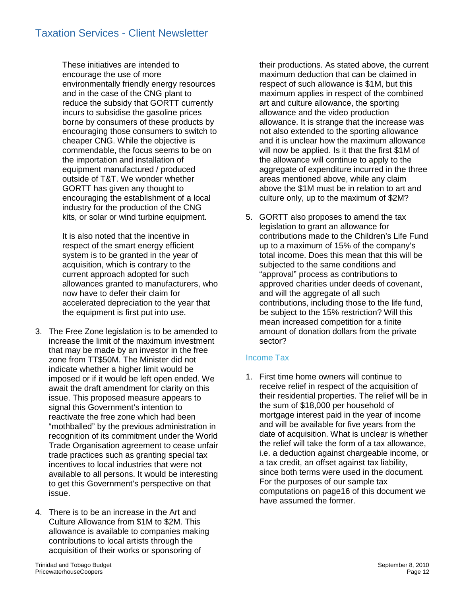These initiatives are intended to encourage the use of more environmentally friendly energy resources and in the case of the CNG plant to reduce the subsidy that GORTT currently incurs to subsidise the gasoline prices borne by consumers of these products by encouraging those consumers to switch to cheaper CNG. While the objective is commendable, the focus seems to be on the importation and installation of equipment manufactured / produced outside of T&T. We wonder whether GORTT has given any thought to encouraging the establishment of a local industry for the production of the CNG kits, or solar or wind turbine equipment.

It is also noted that the incentive in respect of the smart energy efficient system is to be granted in the year of acquisition, which is contrary to the current approach adopted for such allowances granted to manufacturers, who now have to defer their claim for accelerated depreciation to the year that the equipment is first put into use.

- 3. The Free Zone legislation is to be amended to increase the limit of the maximum investment that may be made by an investor in the free zone from TT\$50M. The Minister did not indicate whether a higher limit would be imposed or if it would be left open ended. We await the draft amendment for clarity on this issue. This proposed measure appears to signal this Government's intention to reactivate the free zone which had been "mothballed" by the previous administration in recognition of its commitment under the World Trade Organisation agreement to cease unfair trade practices such as granting special tax incentives to local industries that were not available to all persons. It would be interesting to get this Government's perspective on that issue.
- 4. There is to be an increase in the Art and Culture Allowance from \$1M to \$2M. This allowance is available to companies making contributions to local artists through the acquisition of their works or sponsoring of

their productions. As stated above, the current maximum deduction that can be claimed in respect of such allowance is \$1M, but this maximum applies in respect of the combined art and culture allowance, the sporting allowance and the video production allowance. It is strange that the increase was not also extended to the sporting allowance and it is unclear how the maximum allowance will now be applied. Is it that the first \$1M of the allowance will continue to apply to the aggregate of expenditure incurred in the three areas mentioned above, while any claim above the \$1M must be in relation to art and culture only, up to the maximum of \$2M?

5. GORTT also proposes to amend the tax legislation to grant an allowance for contributions made to the Children's Life Fund up to a maximum of 15% of the company's total income. Does this mean that this will be subjected to the same conditions and "approval" process as contributions to approved charities under deeds of covenant, and will the aggregate of all such contributions, including those to the life fund, be subject to the 15% restriction? Will this mean increased competition for a finite amount of donation dollars from the private sector?

# Income Tax

1. First time home owners will continue to receive relief in respect of the acquisition of their residential properties. The relief will be in the sum of \$18,000 per household of mortgage interest paid in the year of income and will be available for five years from the date of acquisition. What is unclear is whether the relief will take the form of a tax allowance, i.e. a deduction against chargeable income, or a tax credit, an offset against tax liability, since both terms were used in the document. For the purposes of our sample tax computations on page16 of this document we have assumed the former.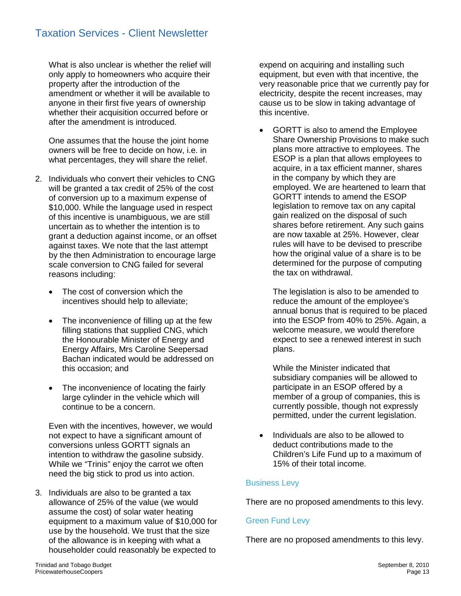What is also unclear is whether the relief will only apply to homeowners who acquire their property after the introduction of the amendment or whether it will be available to anyone in their first five years of ownership whether their acquisition occurred before or after the amendment is introduced.

One assumes that the house the joint home owners will be free to decide on how, i.e. in what percentages, they will share the relief.

- 2. Individuals who convert their vehicles to CNG will be granted a tax credit of 25% of the cost of conversion up to a maximum expense of \$10,000. While the language used in respect of this incentive is unambiguous, we are still uncertain as to whether the intention is to grant a deduction against income, or an offset against taxes. We note that the last attempt by the then Administration to encourage large scale conversion to CNG failed for several reasons including:
	- The cost of conversion which the incentives should help to alleviate;
	- The inconvenience of filling up at the few filling stations that supplied CNG, which the Honourable Minister of Energy and Energy Affairs, Mrs Caroline Seepersad Bachan indicated would be addressed on this occasion; and
	- The inconvenience of locating the fairly large cylinder in the vehicle which will continue to be a concern.

Even with the incentives, however, we would not expect to have a significant amount of conversions unless GORTT signals an intention to withdraw the gasoline subsidy. While we "Trinis" enjoy the carrot we often need the big stick to prod us into action.

3. Individuals are also to be granted a tax allowance of 25% of the value (we would assume the cost) of solar water heating equipment to a maximum value of \$10,000 for use by the household. We trust that the size of the allowance is in keeping with what a householder could reasonably be expected to

expend on acquiring and installing such equipment, but even with that incentive, the very reasonable price that we currently pay for electricity, despite the recent increases, may cause us to be slow in taking advantage of this incentive.

• GORTT is also to amend the Employee Share Ownership Provisions to make such plans more attractive to employees. The ESOP is a plan that allows employees to acquire, in a tax efficient manner, shares in the company by which they are employed. We are heartened to learn that GORTT intends to amend the ESOP legislation to remove tax on any capital gain realized on the disposal of such shares before retirement. Any such gains are now taxable at 25%. However, clear rules will have to be devised to prescribe how the original value of a share is to be determined for the purpose of computing the tax on withdrawal.

The legislation is also to be amended to reduce the amount of the employee's annual bonus that is required to be placed into the ESOP from 40% to 25%. Again, a welcome measure, we would therefore expect to see a renewed interest in such plans.

While the Minister indicated that subsidiary companies will be allowed to participate in an ESOP offered by a member of a group of companies, this is currently possible, though not expressly permitted, under the current legislation.

 Individuals are also to be allowed to deduct contributions made to the Children's Life Fund up to a maximum of 15% of their total income.

# Business Levy

There are no proposed amendments to this levy.

# Green Fund Levy

There are no proposed amendments to this levy.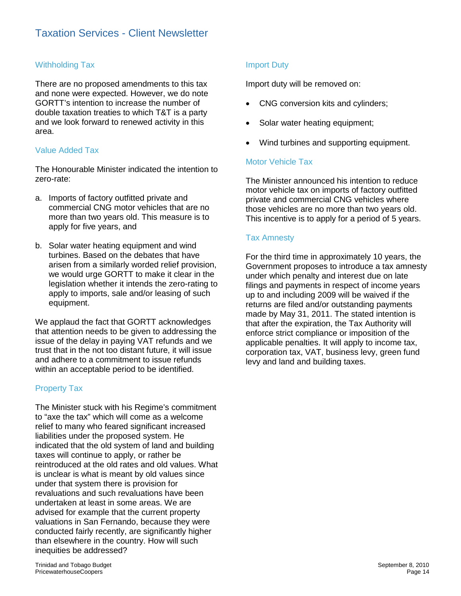# Withholding Tax

There are no proposed amendments to this tax and none were expected. However, we do note GORTT's intention to increase the number of double taxation treaties to which T&T is a party and we look forward to renewed activity in this area.

# Value Added Tax

The Honourable Minister indicated the intention to zero-rate:

- a. Imports of factory outfitted private and commercial CNG motor vehicles that are no more than two years old. This measure is to apply for five years, and
- b. Solar water heating equipment and wind turbines. Based on the debates that have arisen from a similarly worded relief provision, we would urge GORTT to make it clear in the legislation whether it intends the zero-rating to apply to imports, sale and/or leasing of such equipment.

We applaud the fact that GORTT acknowledges that attention needs to be given to addressing the issue of the delay in paying VAT refunds and we trust that in the not too distant future, it will issue and adhere to a commitment to issue refunds within an acceptable period to be identified.

# Property Tax

The Minister stuck with his Regime's commitment to "axe the tax" which will come as a welcome relief to many who feared significant increased liabilities under the proposed system. He indicated that the old system of land and building taxes will continue to apply, or rather be reintroduced at the old rates and old values. What is unclear is what is meant by old values since under that system there is provision for revaluations and such revaluations have been undertaken at least in some areas. We are advised for example that the current property valuations in San Fernando, because they were conducted fairly recently, are significantly higher than elsewhere in the country. How will such inequities be addressed?

# Import Duty

Import duty will be removed on:

- CNG conversion kits and cylinders;
- Solar water heating equipment;
- Wind turbines and supporting equipment.

# Motor Vehicle Tax

The Minister announced his intention to reduce motor vehicle tax on imports of factory outfitted private and commercial CNG vehicles where those vehicles are no more than two years old. This incentive is to apply for a period of 5 years.

## Tax Amnesty

For the third time in approximately 10 years, the Government proposes to introduce a tax amnesty under which penalty and interest due on late filings and payments in respect of income years up to and including 2009 will be waived if the returns are filed and/or outstanding payments made by May 31, 2011. The stated intention is that after the expiration, the Tax Authority will enforce strict compliance or imposition of the applicable penalties. It will apply to income tax, corporation tax, VAT, business levy, green fund levy and land and building taxes.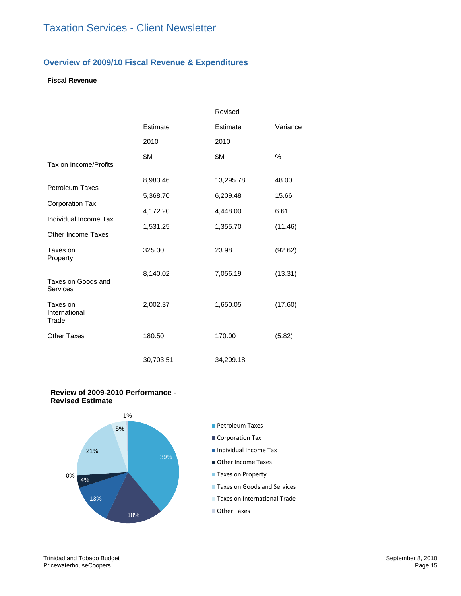## **Overview of 2009/10 Fiscal Revenue & Expenditures**

# **Fiscal Revenue**

|                                    |           | Revised   |          |
|------------------------------------|-----------|-----------|----------|
|                                    | Estimate  | Estimate  | Variance |
|                                    | 2010      | 2010      |          |
| Tax on Income/Profits              | \$Μ       | \$Μ       | $\%$     |
|                                    | 8,983.46  | 13,295.78 | 48.00    |
| <b>Petroleum Taxes</b>             | 5,368.70  | 6,209.48  | 15.66    |
| <b>Corporation Tax</b>             | 4,172.20  | 4,448.00  | 6.61     |
| Individual Income Tax              | 1,531.25  | 1,355.70  | (11.46)  |
| Other Income Taxes                 |           |           |          |
| Taxes on<br>Property               | 325.00    | 23.98     | (92.62)  |
| Taxes on Goods and<br>Services     | 8,140.02  | 7,056.19  | (13.31)  |
| Taxes on<br>International<br>Trade | 2,002.37  | 1,650.05  | (17.60)  |
| <b>Other Taxes</b>                 | 180.50    | 170.00    | (5.82)   |
|                                    | 30,703.51 | 34,209.18 |          |

#### **Review of 2009-2010 Performance - Revised Estimate**

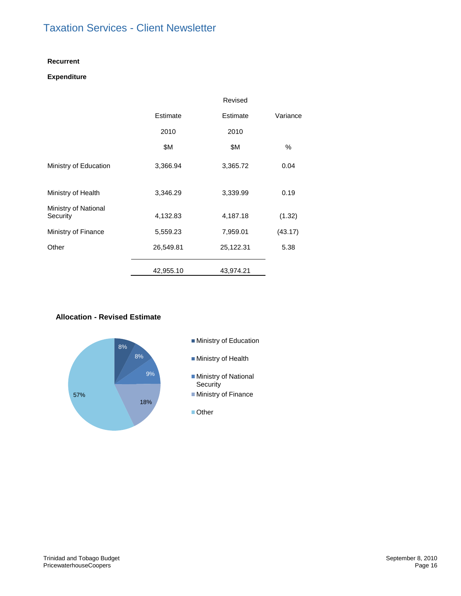#### **Recurrent**

#### **Expenditure**

|                                  |           | Revised   |          |
|----------------------------------|-----------|-----------|----------|
|                                  | Estimate  | Estimate  | Variance |
|                                  | 2010      | 2010      |          |
|                                  | \$Μ       | \$Μ       | %        |
| Ministry of Education            | 3,366.94  | 3,365.72  | 0.04     |
| Ministry of Health               | 3,346.29  | 3,339.99  | 0.19     |
| Ministry of National<br>Security | 4,132.83  | 4,187.18  | (1.32)   |
| Ministry of Finance              | 5,559.23  | 7,959.01  | (43.17)  |
| Other                            | 26,549.81 | 25,122.31 | 5.38     |
|                                  | 42,955.10 | 43,974.21 |          |

#### **Allocation - Revised Estimate**

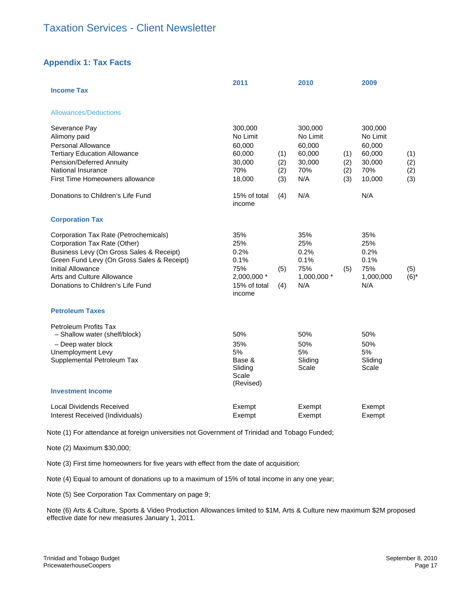# **Appendix 1: Tax Facts**

| <b>Income Tax</b>                                                                                                                                                                                                                                       | 2011                                                                       |                          | 2010                                                            |                          | 2009                                                               |                          |
|---------------------------------------------------------------------------------------------------------------------------------------------------------------------------------------------------------------------------------------------------------|----------------------------------------------------------------------------|--------------------------|-----------------------------------------------------------------|--------------------------|--------------------------------------------------------------------|--------------------------|
| <b>Allowances/Deductions</b>                                                                                                                                                                                                                            |                                                                            |                          |                                                                 |                          |                                                                    |                          |
| Severance Pay<br>Alimony paid<br>Personal Allowance<br><b>Tertiary Education Allowance</b><br>Pension/Deferred Annuity<br>National Insurance<br>First Time Homeowners allowance                                                                         | 300,000<br>No Limit<br>60,000<br>60,000<br>30,000<br>70%<br>18,000         | (1)<br>(2)<br>(2)<br>(3) | 300,000<br>No Limit<br>60,000<br>60,000<br>30,000<br>70%<br>N/A | (1)<br>(2)<br>(2)<br>(3) | 300,000<br>No Limit<br>60,000<br>60,000<br>30,000<br>70%<br>10,000 | (1)<br>(2)<br>(2)<br>(3) |
| Donations to Children's Life Fund                                                                                                                                                                                                                       | 15% of total<br>income                                                     | (4)                      | N/A                                                             |                          | N/A                                                                |                          |
| <b>Corporation Tax</b>                                                                                                                                                                                                                                  |                                                                            |                          |                                                                 |                          |                                                                    |                          |
| Corporation Tax Rate (Petrochemicals)<br>Corporation Tax Rate (Other)<br>Business Levy (On Gross Sales & Receipt)<br>Green Fund Levy (On Gross Sales & Receipt)<br>Initial Allowance<br>Arts and Culture Allowance<br>Donations to Children's Life Fund | 35%<br>25%<br>0.2%<br>0.1%<br>75%<br>2,000,000 *<br>15% of total<br>income | (5)<br>(4)               | 35%<br>25%<br>0.2%<br>0.1%<br>75%<br>1,000,000 *<br>N/A         | (5)                      | 35%<br>25%<br>0.2%<br>0.1%<br>75%<br>1,000,000<br>N/A              | (5)<br>$(6)^*$           |
| <b>Petroleum Taxes</b>                                                                                                                                                                                                                                  |                                                                            |                          |                                                                 |                          |                                                                    |                          |
| Petroleum Profits Tax<br>- Shallow water (shelf/block)<br>- Deep water block<br>Unemployment Levy<br>Supplemental Petroleum Tax<br><b>Investment Income</b>                                                                                             | 50%<br>35%<br>5%<br>Base &<br>Sliding<br>Scale<br>(Revised)                |                          | 50%<br>50%<br>5%<br>Sliding<br>Scale                            |                          | 50%<br>50%<br>5%<br>Sliding<br>Scale                               |                          |
| Local Dividends Received<br>Interest Received (Individuals)                                                                                                                                                                                             | Exempt<br>Exempt                                                           |                          | Exempt<br>Exempt                                                |                          | Exempt<br>Exempt                                                   |                          |

Note (1) For attendance at foreign universities not Government of Trinidad and Tobago Funded;

Note (2) Maximum \$30,000;

Note (3) First time homeowners for five years with effect from the date of acquisition;

Note (4) Equal to amount of donations up to a maximum of 15% of total income in any one year;

Note (5) See Corporation Tax Commentary on page 9;

Note (6) Arts & Culture, Sports & Video Production Allowances limited to \$1M, Arts & Culture new maximum \$2M proposed effective date for new measures January 1, 2011.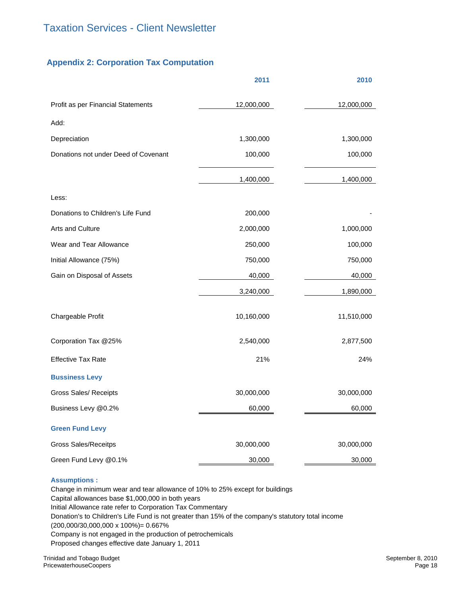# **Appendix 2: Corporation Tax Computation**

|                                      | 2011       | 2010       |
|--------------------------------------|------------|------------|
| Profit as per Financial Statements   | 12,000,000 | 12,000,000 |
| Add:                                 |            |            |
| Depreciation                         | 1,300,000  | 1,300,000  |
| Donations not under Deed of Covenant | 100,000    | 100,000    |
|                                      | 1,400,000  | 1,400,000  |
| Less:                                |            |            |
| Donations to Children's Life Fund    | 200,000    |            |
| Arts and Culture                     | 2,000,000  | 1,000,000  |
| Wear and Tear Allowance              | 250,000    | 100,000    |
| Initial Allowance (75%)              | 750,000    | 750,000    |
| Gain on Disposal of Assets           | 40,000     | 40,000     |
|                                      | 3,240,000  | 1,890,000  |
| Chargeable Profit                    | 10,160,000 | 11,510,000 |
| Corporation Tax @25%                 | 2,540,000  | 2,877,500  |
| <b>Effective Tax Rate</b>            | 21%        | 24%        |
| <b>Bussiness Levy</b>                |            |            |
| <b>Gross Sales/ Receipts</b>         | 30,000,000 | 30,000,000 |
| Business Levy @0.2%                  | 60,000     | 60,000     |
| <b>Green Fund Levy</b>               |            |            |
| <b>Gross Sales/Receitps</b>          | 30,000,000 | 30,000,000 |
| Green Fund Levy @0.1%                | 30,000     | 30,000     |

#### **Assumptions :**

Change in minimum wear and tear allowance of 10% to 25% except for buildings Capital allowances base \$1,000,000 in both years Initial Allowance rate refer to Corporation Tax Commentary Donation's to Children's Life Fund is not greater than 15% of the company's statutory total income (200,000/30,000,000 x 100%)= 0.667% Company is not engaged in the production of petrochemicals Proposed changes effective date January 1, 2011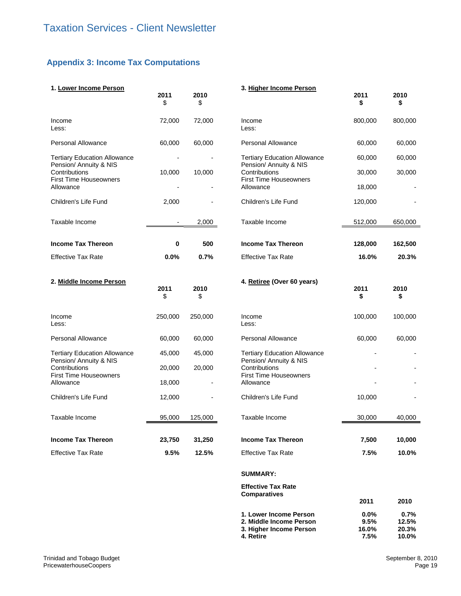# **Appendix 3: Income Tax Computations**

| 1. Lower Income Person                                                   | 2011<br>\$ | 2010<br>\$ | 3. Higher Income Person                                                      | 2011<br>\$               | 2010<br>\$             |
|--------------------------------------------------------------------------|------------|------------|------------------------------------------------------------------------------|--------------------------|------------------------|
| Income<br>Less:                                                          | 72,000     | 72,000     | Income<br>Less:                                                              | 800,000                  | 800,000                |
| <b>Personal Allowance</b>                                                | 60,000     | 60,000     | Personal Allowance                                                           | 60,000                   | 60,000                 |
| <b>Tertiary Education Allowance</b>                                      |            |            | <b>Tertiary Education Allowance</b>                                          | 60,000                   | 60,000                 |
| Pension/ Annuity & NIS<br>Contributions<br><b>First Time Houseowners</b> | 10,000     | 10,000     | Pension/ Annuity & NIS<br>Contributions<br><b>First Time Houseowners</b>     | 30,000                   | 30,000                 |
| Allowance                                                                |            |            | Allowance                                                                    | 18,000                   |                        |
| Children's Life Fund                                                     | 2,000      |            | Children's Life Fund                                                         | 120,000                  |                        |
| Taxable Income                                                           |            | 2,000      | Taxable Income                                                               | 512,000                  | 650,000                |
| <b>Income Tax Thereon</b>                                                | 0          | 500        | <b>Income Tax Thereon</b>                                                    | 128,000                  | 162,500                |
| <b>Effective Tax Rate</b>                                                | 0.0%       | 0.7%       | <b>Effective Tax Rate</b>                                                    | 16.0%                    | 20.3%                  |
| 2. Middle Income Person                                                  | 2011<br>\$ | 2010<br>\$ | 4. Retiree (Over 60 years)                                                   | 2011<br>\$               | 2010<br>\$             |
| Income<br>Less:                                                          | 250,000    | 250,000    | Income<br>Less:                                                              | 100,000                  | 100,000                |
| <b>Personal Allowance</b>                                                | 60,000     | 60,000     | <b>Personal Allowance</b>                                                    | 60,000                   | 60,000                 |
| <b>Tertiary Education Allowance</b><br>Pension/ Annuity & NIS            | 45,000     | 45,000     | <b>Tertiary Education Allowance</b><br>Pension/ Annuity & NIS                |                          |                        |
| Contributions<br><b>First Time Houseowners</b>                           | 20,000     | 20,000     | Contributions<br><b>First Time Houseowners</b>                               |                          |                        |
| Allowance                                                                | 18,000     |            | Allowance                                                                    |                          |                        |
| Children's Life Fund                                                     | 12,000     |            | Children's Life Fund                                                         | 10,000                   |                        |
| Taxable Income                                                           | 95,000     | 125,000    | Taxable Income                                                               | 30,000                   | 40,000                 |
| <b>Income Tax Thereon</b>                                                | 23.750     | 31,250     | <b>Income Tax Thereon</b>                                                    | 7.500                    | 10.000                 |
| <b>Effective Tax Rate</b>                                                | 9.5%       | 12.5%      | <b>Effective Tax Rate</b>                                                    | 7.5%                     | 10.0%                  |
|                                                                          |            |            | <b>SUMMARY:</b>                                                              |                          |                        |
|                                                                          |            |            | <b>Effective Tax Rate</b>                                                    |                          |                        |
|                                                                          |            |            | <b>Comparatives</b>                                                          | 2011                     | 2010                   |
|                                                                          |            |            | 1. Lower Income Person<br>2. Middle Income Person<br>3. Higher Income Person | $0.0\%$<br>9.5%<br>16.0% | 0.7%<br>12.5%<br>20.3% |

**4. Retire 7.5% 10.0%**

**3. Higher Income Person 16.0% 20.3%<br>
<b>4. Retire 16.0%** 20.3%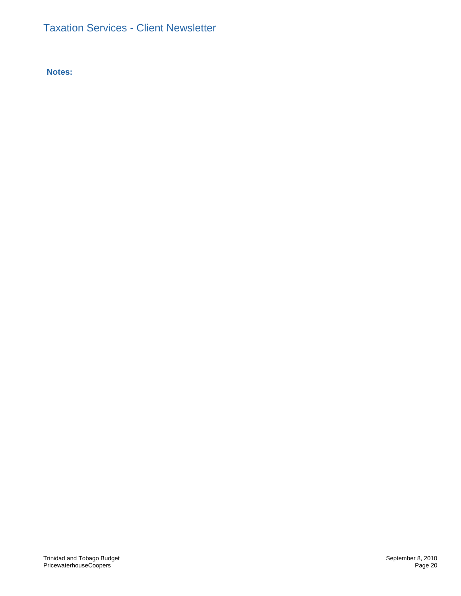**Notes:**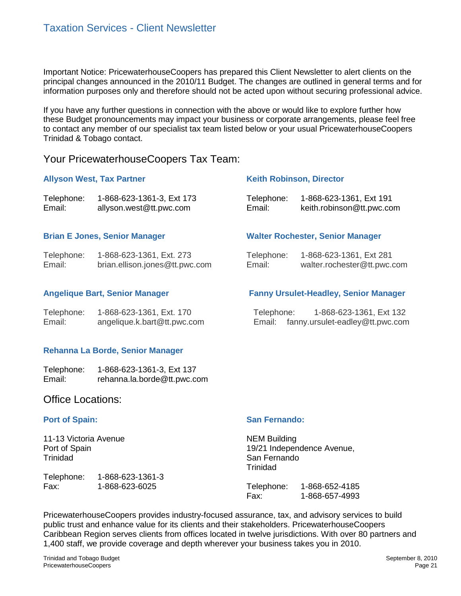Important Notice: PricewaterhouseCoopers has prepared this Client Newsletter to alert clients on the principal changes announced in the 2010/11 Budget. The changes are outlined in general terms and for information purposes only and therefore should not be acted upon without securing professional advice.

If you have any further questions in connection with the above or would like to explore further how these Budget pronouncements may impact your business or corporate arrangements, please feel free to contact any member of our specialist tax team listed below or your usual PricewaterhouseCoopers Trinidad & Tobago contact.

# Your PricewaterhouseCoopers Tax Team:

|                          | <b>Allyson West, Tax Partner</b>                           | <b>Keith Robinson, Director</b> |                                                                              |  |
|--------------------------|------------------------------------------------------------|---------------------------------|------------------------------------------------------------------------------|--|
| Telephone:<br>Email:     | 1-868-623-1361-3, Ext 173<br>allyson.west@tt.pwc.com       | Telephone:<br>Email:            | 1-868-623-1361, Ext 191<br>keith.robinson@tt.pwc.com                         |  |
|                          | <b>Brian E Jones, Senior Manager</b>                       |                                 | <b>Walter Rochester, Senior Manager</b>                                      |  |
| Telephone:<br>Email:     | 1-868-623-1361, Ext. 273<br>brian.ellison.jones@tt.pwc.com | Telephone:<br>Email:            | 1-868-623-1361, Ext 281<br>walter.rochester@tt.pwc.com                       |  |
|                          | <b>Angelique Bart, Senior Manager</b>                      |                                 | <b>Fanny Ursulet-Headley, Senior Manager</b>                                 |  |
| Telephone:<br>Email:     | 1-868-623-1361, Ext. 170<br>angelique.k.bart@tt.pwc.com    |                                 | Telephone: 1-868-623-1361, Ext 132<br>Email: fanny.ursulet-eadley@tt.pwc.com |  |
|                          | Rehanna La Borde, Senior Manager                           |                                 |                                                                              |  |
| Telephone:<br>Email:     | 1-868-623-1361-3, Ext 137<br>rehanna.la.borde@tt.pwc.com   |                                 |                                                                              |  |
| <b>Office Locations:</b> |                                                            |                                 |                                                                              |  |
| <b>Port of Spain:</b>    |                                                            | <b>San Fernando:</b>            |                                                                              |  |
| 11-13 Victoria Avenue    |                                                            | <b>NEM Building</b>             |                                                                              |  |

Trinidad Telephone: 1-868-623-1361-3

Fax: 1-868-623-6025

Port of Spain

M Builaing 19/21 Independence Avenue, San Fernando **Trinidad** 

| Telephone: | 1-868-652-4185 |
|------------|----------------|
| Fax:       | 1-868-657-4993 |

PricewaterhouseCoopers provides industry-focused assurance, tax, and advisory services to build public trust and enhance value for its clients and their stakeholders. PricewaterhouseCoopers Caribbean Region serves clients from offices located in twelve jurisdictions. With over 80 partners and 1,400 staff, we provide coverage and depth wherever your business takes you in 2010.